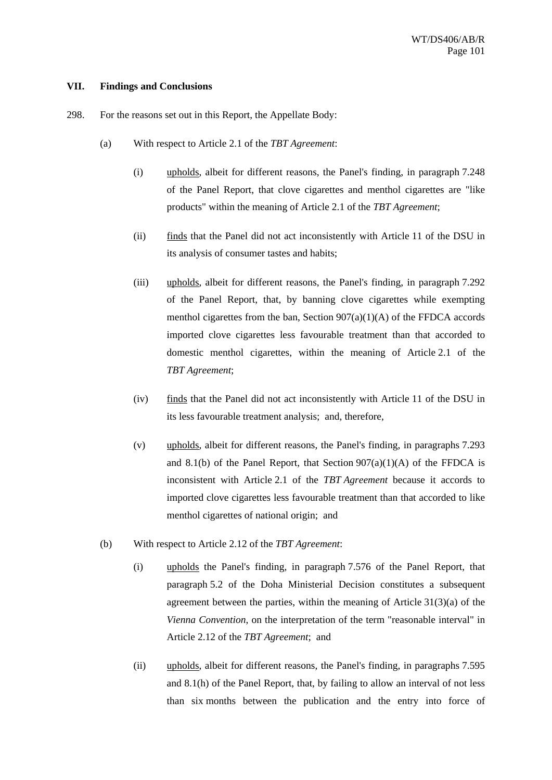## **VII. Findings and Conclusions**

- 298. For the reasons set out in this Report, the Appellate Body:
	- (a) With respect to Article 2.1 of the *TBT Agreement*:
		- (i) upholds, albeit for different reasons, the Panel's finding, in paragraph 7.248 of the Panel Report, that clove cigarettes and menthol cigarettes are "like products" within the meaning of Article 2.1 of the *TBT Agreement*;
		- (ii) finds that the Panel did not act inconsistently with Article 11 of the DSU in its analysis of consumer tastes and habits;
		- (iii) upholds, albeit for different reasons, the Panel's finding, in paragraph 7.292 of the Panel Report, that, by banning clove cigarettes while exempting menthol cigarettes from the ban, Section  $907(a)(1)(A)$  of the FFDCA accords imported clove cigarettes less favourable treatment than that accorded to domestic menthol cigarettes, within the meaning of Article 2.1 of the *TBT Agreement*;
		- (iv) finds that the Panel did not act inconsistently with Article 11 of the DSU in its less favourable treatment analysis; and, therefore,
		- (v) upholds, albeit for different reasons, the Panel's finding, in paragraphs 7.293 and 8.1(b) of the Panel Report, that Section  $907(a)(1)(A)$  of the FFDCA is inconsistent with Article 2.1 of the *TBT Agreement* because it accords to imported clove cigarettes less favourable treatment than that accorded to like menthol cigarettes of national origin; and
	- (b) With respect to Article 2.12 of the *TBT Agreement*:
		- (i) upholds the Panel's finding, in paragraph 7.576 of the Panel Report, that paragraph 5.2 of the Doha Ministerial Decision constitutes a subsequent agreement between the parties, within the meaning of Article 31(3)(a) of the *Vienna Convention*, on the interpretation of the term "reasonable interval" in Article 2.12 of the *TBT Agreement*; and
		- (ii) upholds, albeit for different reasons, the Panel's finding, in paragraphs 7.595 and 8.1(h) of the Panel Report, that, by failing to allow an interval of not less than six months between the publication and the entry into force of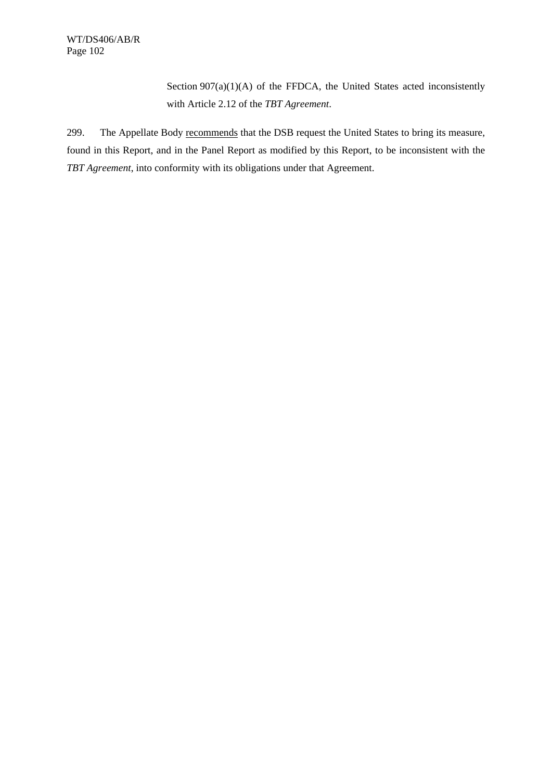Section 907(a)(1)(A) of the FFDCA, the United States acted inconsistently with Article 2.12 of the *TBT Agreement*.

299. The Appellate Body recommends that the DSB request the United States to bring its measure, found in this Report, and in the Panel Report as modified by this Report, to be inconsistent with the *TBT Agreement*, into conformity with its obligations under that Agreement.